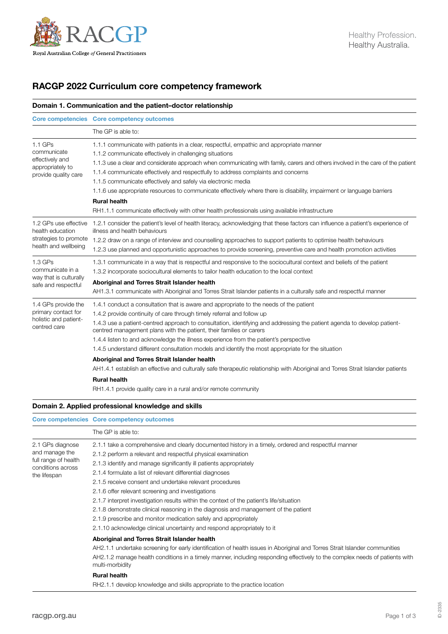

# RACGP 2022 Curriculum core competency framework

# Domain 1. Communication and the patient–doctor relationship

|                                                                                            | Core competencies Core competency outcomes                                                                                                                                                                                                                                                                                                                                                                                                                                                                                                                                                                                                                                                                                                                                                                                                     |
|--------------------------------------------------------------------------------------------|------------------------------------------------------------------------------------------------------------------------------------------------------------------------------------------------------------------------------------------------------------------------------------------------------------------------------------------------------------------------------------------------------------------------------------------------------------------------------------------------------------------------------------------------------------------------------------------------------------------------------------------------------------------------------------------------------------------------------------------------------------------------------------------------------------------------------------------------|
|                                                                                            | The GP is able to:                                                                                                                                                                                                                                                                                                                                                                                                                                                                                                                                                                                                                                                                                                                                                                                                                             |
| $1.1$ GPs<br>communicate<br>effectively and<br>appropriately to<br>provide quality care    | 1.1.1 communicate with patients in a clear, respectful, empathic and appropriate manner<br>1.1.2 communicate effectively in challenging situations<br>1.1.3 use a clear and considerate approach when communicating with family, carers and others involved in the care of the patient<br>1.1.4 communicate effectively and respectfully to address complaints and concerns<br>1.1.5 communicate effectively and safely via electronic media<br>1.1.6 use appropriate resources to communicate effectively where there is disability, impairment or language barriers<br><b>Rural health</b>                                                                                                                                                                                                                                                   |
|                                                                                            | RH1.1.1 communicate effectively with other health professionals using available infrastructure                                                                                                                                                                                                                                                                                                                                                                                                                                                                                                                                                                                                                                                                                                                                                 |
| 1.2 GPs use effective<br>health education<br>strategies to promote<br>health and wellbeing | 1.2.1 consider the patient's level of health literacy, acknowledging that these factors can influence a patient's experience of<br>illness and health behaviours<br>1.2.2 draw on a range of interview and counselling approaches to support patients to optimise health behaviours<br>1.2.3 use planned and opportunistic approaches to provide screening, preventive care and health promotion activities                                                                                                                                                                                                                                                                                                                                                                                                                                    |
| $1.3$ GPs<br>communicate in a<br>way that is culturally<br>safe and respectful             | 1.3.1 communicate in a way that is respectful and responsive to the sociocultural context and beliefs of the patient<br>1.3.2 incorporate sociocultural elements to tailor health education to the local context<br>Aboriginal and Torres Strait Islander health<br>AH1.3.1 communicate with Aboriginal and Torres Strait Islander patients in a culturally safe and respectful manner                                                                                                                                                                                                                                                                                                                                                                                                                                                         |
| 1.4 GPs provide the<br>primary contact for<br>holistic and patient-<br>centred care        | 1.4.1 conduct a consultation that is aware and appropriate to the needs of the patient<br>1.4.2 provide continuity of care through timely referral and follow up<br>1.4.3 use a patient-centred approach to consultation, identifying and addressing the patient agenda to develop patient-<br>centred management plans with the patient, their families or carers<br>1.4.4 listen to and acknowledge the illness experience from the patient's perspective<br>1.4.5 understand different consultation models and identify the most appropriate for the situation<br>Aboriginal and Torres Strait Islander health<br>AH1.4.1 establish an effective and culturally safe therapeutic relationship with Aboriginal and Torres Strait Islander patients<br><b>Rural health</b><br>RH1.4.1 provide quality care in a rural and/or remote community |

# Domain 2. Applied professional knowledge and skills

|                                                                                                 | Core competencies Core competency outcomes                                                                                                                                                                                                                                                                                                                                                                                                                                                                                                                                                                                                                                                                                                                                                                                                                                                                                                                                                                                                                                                                      |
|-------------------------------------------------------------------------------------------------|-----------------------------------------------------------------------------------------------------------------------------------------------------------------------------------------------------------------------------------------------------------------------------------------------------------------------------------------------------------------------------------------------------------------------------------------------------------------------------------------------------------------------------------------------------------------------------------------------------------------------------------------------------------------------------------------------------------------------------------------------------------------------------------------------------------------------------------------------------------------------------------------------------------------------------------------------------------------------------------------------------------------------------------------------------------------------------------------------------------------|
|                                                                                                 | The GP is able to:                                                                                                                                                                                                                                                                                                                                                                                                                                                                                                                                                                                                                                                                                                                                                                                                                                                                                                                                                                                                                                                                                              |
| 2.1 GPs diagnose<br>and manage the<br>full range of health<br>conditions across<br>the lifespan | 2.1.1 take a comprehensive and clearly documented history in a timely, ordered and respectful manner<br>2.1.2 perform a relevant and respectful physical examination<br>2.1.3 identify and manage significantly ill patients appropriately<br>2.1.4 formulate a list of relevant differential diagnoses<br>2.1.5 receive consent and undertake relevant procedures<br>2.1.6 offer relevant screening and investigations<br>2.1.7 interpret investigation results within the context of the patient's life/situation<br>2.1.8 demonstrate clinical reasoning in the diagnosis and management of the patient<br>2.1.9 prescribe and monitor medication safely and appropriately<br>2.1.10 acknowledge clinical uncertainty and respond appropriately to it<br>Aboriginal and Torres Strait Islander health<br>AH2.1.1 undertake screening for early identification of health issues in Aboriginal and Torres Strait Islander communities<br>AH2.1.2 manage health conditions in a timely manner, including responding effectively to the complex needs of patients with<br>multi-morbidity<br><b>Rural health</b> |
|                                                                                                 | RH2.1.1 develop knowledge and skills appropriate to the practice location                                                                                                                                                                                                                                                                                                                                                                                                                                                                                                                                                                                                                                                                                                                                                                                                                                                                                                                                                                                                                                       |

ID-2335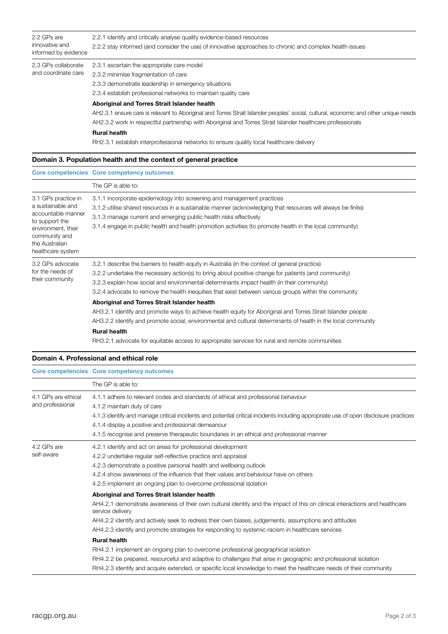| 2.2 GPs are<br>innovative and<br>informed by evidence | 2.2.1 identify and critically analyse quality evidence-based resources<br>2.2.2 stay informed (and consider the use) of innovative approaches to chronic and complex health issues                                                                                                                                                                                                                                   |
|-------------------------------------------------------|----------------------------------------------------------------------------------------------------------------------------------------------------------------------------------------------------------------------------------------------------------------------------------------------------------------------------------------------------------------------------------------------------------------------|
| 2.3 GPs collaborate<br>and coordinate care            | 2.3.1 ascertain the appropriate care model<br>2.3.2 minimise fragmentation of care<br>2.3.3 demonstrate leadership in emergency situations<br>2.3.4 establish professional networks to maintain quality care                                                                                                                                                                                                         |
|                                                       | Aboriginal and Torres Strait Islander health<br>AH2.3.1 ensure care is relevant to Aboriginal and Torres Strait Islander peoples' social, cultural, economic and other unique needs<br>AH2.3.2 work in respectful partnership with Aboriginal and Torres Strait Islander healthcare professionals<br><b>Rural health</b><br>RH2.3.1 establish interprofessional networks to ensure quality local healthcare delivery |

# Domain 3. Population health and the context of general practice

|                                                                                                                                                                | Core competencies Core competency outcomes                                                                                                                                                                                                                                                                                                                                                                   |
|----------------------------------------------------------------------------------------------------------------------------------------------------------------|--------------------------------------------------------------------------------------------------------------------------------------------------------------------------------------------------------------------------------------------------------------------------------------------------------------------------------------------------------------------------------------------------------------|
|                                                                                                                                                                | The GP is able to:                                                                                                                                                                                                                                                                                                                                                                                           |
| 3.1 GPs practice in<br>a sustainable and<br>accountable manner<br>to support the<br>environment, their<br>community and<br>the Australian<br>healthcare system | 3.1.1 incorporate epidemiology into screening and management practices<br>3.1.2 utilise shared resources in a sustainable manner (acknowledging that resources will always be finite)<br>3.1.3 manage current and emerging public health risks effectively<br>3.1.4 engage in public health and health promotion activities (to promote health in the local community)                                       |
| 3.2 GPs advocate<br>for the needs of<br>their community                                                                                                        | 3.2.1 describe the barriers to health equity in Australia (in the context of general practice)<br>3.2.2 undertake the necessary action(s) to bring about positive change for patients (and community)<br>3.2.3 explain how social and environmental determinants impact health (in their community)<br>3.2.4 advocate to remove the health inequities that exist between various groups within the community |
|                                                                                                                                                                | Aboriginal and Torres Strait Islander health<br>AH3.2.1 identify and promote ways to achieve health equity for Aboriginal and Torres Strait Islander people<br>AH3.2.2 identify and promote social, environmental and cultural determinants of health in the local community<br><b>Rural health</b><br>RH3.2.1 advocate for equitable access to appropriate services for rural and remote communities        |

### Domain 4. Professional and ethical role

|                                         | Core competencies Core competency outcomes                                                                                                                                                                                                                                                                                                                                                                    |
|-----------------------------------------|---------------------------------------------------------------------------------------------------------------------------------------------------------------------------------------------------------------------------------------------------------------------------------------------------------------------------------------------------------------------------------------------------------------|
|                                         | The GP is able to:                                                                                                                                                                                                                                                                                                                                                                                            |
| 4.1 GPs are ethical<br>and professional | 4.1.1 adhere to relevant codes and standards of ethical and professional behaviour<br>4.1.2 maintain duty of care<br>4.1.3 identify and manage critical incidents and potential critical incidents including appropriate use of open disclosure practices<br>4.1.4 display a positive and professional demeanour<br>4.1.5 recognise and preserve therapeutic boundaries in an ethical and professional manner |
| 4.2 GPs are<br>self-aware               | 4.2.1 identify and act on areas for professional development<br>4.2.2 undertake regular self-reflective practice and appraisal<br>4.2.3 demonstrate a positive personal health and wellbeing outlook<br>4.2.4 show awareness of the influence that their values and behaviour have on others<br>4.2.5 implement an ongoing plan to overcome professional isolation                                            |
|                                         | Aboriginal and Torres Strait Islander health<br>AH4.2.1 demonstrate awareness of their own cultural identity and the impact of this on clinical interactions and healthcare<br>service delivery<br>AH4.2.2 identify and actively seek to redress their own biases, judgements, assumptions and attitudes<br>AH4.2.3 identify and promote strategies for responding to systemic racism in healthcare services  |
|                                         | <b>Rural health</b><br>RH4.2.1 implement an ongoing plan to overcome professional geographical isolation<br>RH4.2.2 be prepared, resourceful and adaptive to challenges that arise in geographic and professional isolation<br>RH4.2.3 identify and acquire extended, or specific local knowledge to meet the healthcare needs of their community                                                             |